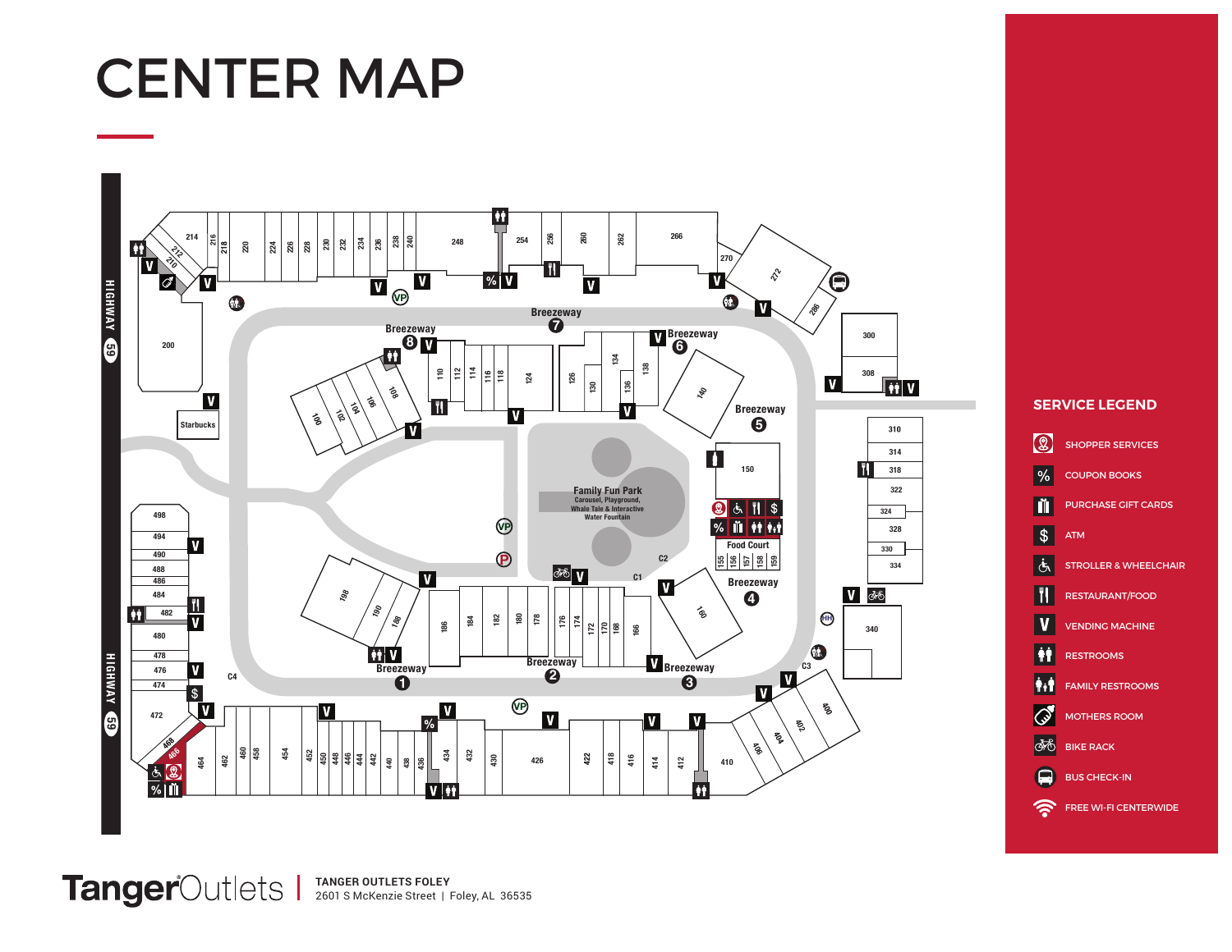# CENTER MAP



## **SERVICE LEGEND**



**TANGER OUTLETS FOLEY** 2601 S McKenzie Street | Foley, AL 36535